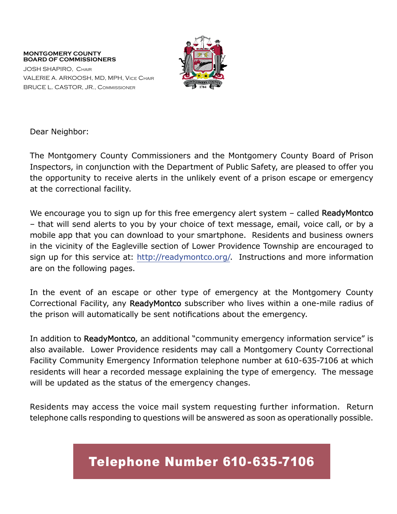#### **MONTGOMERY COUNTY BOARD OF COMMISSIONERS**

JOSH SHAPIRO, Chair VALERIE A. ARKOOSH, MD, MPH, Vice Chair BRUCE L. CASTOR, JR., Commissioner



Dear Neighbor:

The Montgomery County Commissioners and the Montgomery County Board of Prison Inspectors, in conjunction with the Department of Public Safety, are pleased to offer you the opportunity to receive alerts in the unlikely event of a prison escape or emergency at the correctional facility.

We encourage you to sign up for this free emergency alert system – called ReadyMontco – that will send alerts to you by your choice of text message, email, voice call, or by a mobile app that you can download to your smartphone. Residents and business owners in the vicinity of the Eagleville section of Lower Providence Township are encouraged to sign up for this service at: [http://readymontco.org/.](http://readymontco.org/) Instructions and more information are on the following pages.

In the event of an escape or other type of emergency at the Montgomery County Correctional Facility, any ReadyMontco subscriber who lives within a one-mile radius of the prison will automatically be sent notifications about the emergency.

In addition to ReadyMontco, an additional "community emergency information service" is also available. Lower Providence residents may call a Montgomery County Correctional Facility Community Emergency Information telephone number at 610-635-7106 at which residents will hear a recorded message explaining the type of emergency. The message will be updated as the status of the emergency changes.

Residents may access the voice mail system requesting further information. Return telephone calls responding to questions will be answered as soon as operationally possible.

### Telephone Number 610-635-7106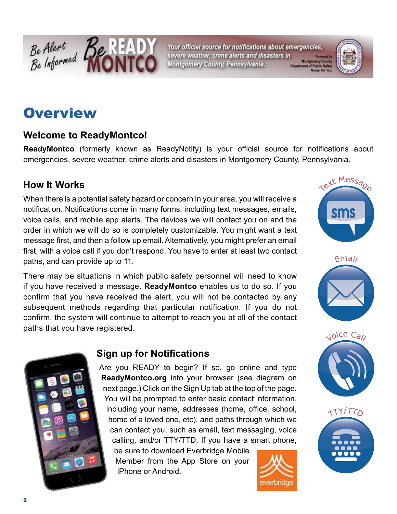

Your official source for notifications about emergencies, severe weather, crime alerts and disasters in Montgomery County, Pennsylvania.



### **Overview**

#### **Welcome to ReadyMontco!**

**ReadyMontco** (formerly known as ReadyNotify) is your official source for notifications about emergencies, severe weather, crime alerts and disasters in Montgomery County, Pennsylvania.

#### **How It Works**

When there is a potential safety hazard or concern in your area, you will receive a notification. Notifications come in many forms, including text messages, emails, voice calls, and mobile app alerts. The devices we will contact you on and the order in which we will do so is completely customizable. You might want a text message first, and then a follow up email. Alternatively, you might prefer an email first, with a voice call if you don't respond. You have to enter at least two contact paths, and can provide up to 11.

There may be situations in which public safety personnel will need to know if you have received a message. **ReadyMontco** enables us to do so. If you confirm that you have received the alert, you will not be contacted by any subsequent methods regarding that particular notification. If you do not confirm, the system will continue to attempt to reach you at all of the contact paths that you have registered.



### **Sign up for Notifications**

Are you READY to begin? If so, go online and type **ReadyMontco.org** into your browser (see diagram on next page.) Click on the Sign Up tab at the top of the page. You will be prompted to enter basic contact information, including your name, addresses (home, office, school, home of a loved one, etc), and paths through which we can contact you, such as email, text messaging, voice calling, and/or TTY/TTD. If you have a smart phone,

be sure to download Everbridge Mobile Member from the App Store on your iPhone or Android.









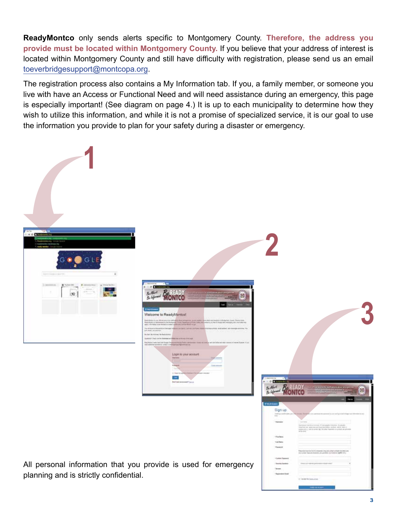**ReadyMontco** only sends alerts specific to Montgomery County. **Therefore, the address you provide must be located within Montgomery County.** If you believe that your address of interest is located within Montgomery County and still have difficulty with registration, please send us an email [toeverbridgesupport@montcopa.org](mailto:toeverbridgesupport%40montcopa.org?subject=ReadyMontco%20-%20Difficulty%20Registering).

The registration process also contains a My Information tab. If you, a family member, or someone you live with have an Access or Functional Need and will need assistance during an emergency, this page is especially important! (See diagram on page 4.) It is up to each municipality to determine how they wish to utilize this information, and while it is not a promise of specialized service, it is our goal to use the information you provide to plan for your safety during a disaster or emergency.

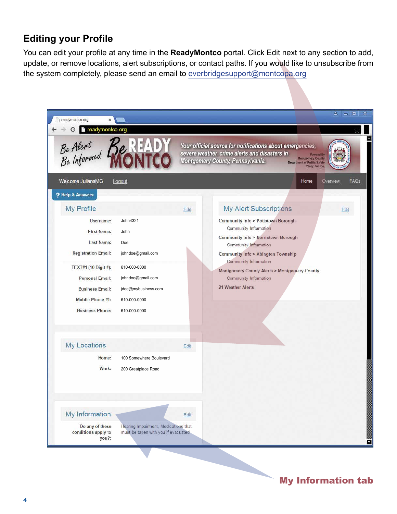#### **Editing your Profile**

You can edit your profile at any time in the **ReadyMontco** portal. Click Edit next to any section to add, update, or remove locations, alert subscriptions, or contact paths. If you would like to unsubscribe from the system completely, please send an email to [everbridgesupport@montcopa.org](mailto:everbridgesupport%40montcopa.org?subject=ReadyMontco%20-%20Unsubscribe)

| readymontco.org                                                                                                                                      |                                                                                                               |      | Your official source for notifications about emergencies,                                                                                                                     |                  |
|------------------------------------------------------------------------------------------------------------------------------------------------------|---------------------------------------------------------------------------------------------------------------|------|-------------------------------------------------------------------------------------------------------------------------------------------------------------------------------|------------------|
| Be Alert<br>Be Informed Re                                                                                                                           |                                                                                                               |      | severe weather, crime alerts and disasters in<br><b>Montgomery County</b><br>Montgomery County, Pennsylvania.<br><b>Department of Public Safety</b><br>Ready. For You         | Powered By       |
| Welcome JulianaMG<br>? Help & Answers                                                                                                                | Logout                                                                                                        |      | Home                                                                                                                                                                          | FAQs<br>Overview |
| My Profile                                                                                                                                           |                                                                                                               | Edit | <b>My Alert Subscriptions</b>                                                                                                                                                 | Edit             |
| Username:<br><b>First Name:</b><br><b>Last Name:</b>                                                                                                 | John4321<br>John<br>Doe                                                                                       |      | Community Info > Pottstown Borough<br>Community Information<br>Community Info > Norristown Borough<br>Community Information                                                   |                  |
| <b>Registration Email:</b><br>TEXT#1 (10 Digit #):<br><b>Personal Email:</b><br><b>Business Email:</b><br>Mobile Phone #1:<br><b>Business Phone:</b> | johndoe@gmail.com<br>610-000-0000<br>johndoe@gmail.com<br>jdoe@mybusiness.com<br>610-000-0000<br>610-000-0000 |      | <b>Community Info &gt; Abington Township</b><br>Community Information<br><b>Montgomery County Alerts &gt; Montgomery County</b><br>Community Information<br>21 Weather Alerts |                  |
| My Locations                                                                                                                                         |                                                                                                               | Edit |                                                                                                                                                                               |                  |
| Home:<br>Work:                                                                                                                                       | 100 Somewhere Boulevard<br>200 Greatplace Road                                                                |      |                                                                                                                                                                               |                  |
| My Information                                                                                                                                       |                                                                                                               | Edit |                                                                                                                                                                               |                  |
| Do any of these<br>conditions apply to<br>$you?$ :                                                                                                   | Hearing Impairment, Medications that<br>must be taken with you if evacuated                                   |      |                                                                                                                                                                               |                  |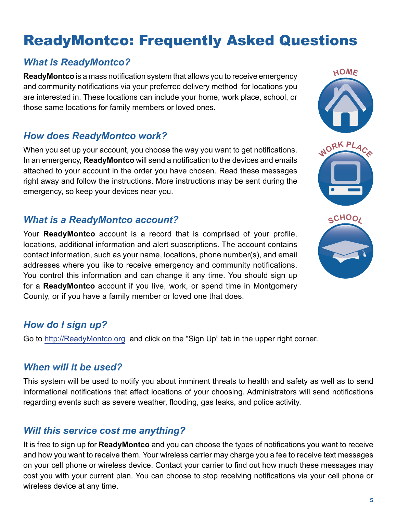## ReadyMontco: Frequently Asked Questions

#### *What is ReadyMontco?*

**ReadyMontco** is a mass notification system that allows you to receive emergency and community notifications via your preferred delivery method for locations you are interested in. These locations can include your home, work place, school, or those same locations for family members or loved ones.

#### *How does ReadyMontco work?*

When you set up your account, you choose the way you want to get notifications. In an emergency, **ReadyMontco** will send a notification to the devices and emails attached to your account in the order you have chosen. Read these messages right away and follow the instructions. More instructions may be sent during the emergency, so keep your devices near you.

#### *What is a ReadyMontco account?*

Your **ReadyMontco** account is a record that is comprised of your profile, locations, additional information and alert subscriptions. The account contains contact information, such as your name, locations, phone number(s), and email addresses where you like to receive emergency and community notifications. You control this information and can change it any time. You should sign up for a **ReadyMontco** account if you live, work, or spend time in Montgomery County, or if you have a family member or loved one that does.

#### *How do I sign up?*

Go to <http://ReadyMontco.org> and click on the "Sign Up" tab in the upper right corner.

#### *When will it be used?*

This system will be used to notify you about imminent threats to health and safety as well as to send informational notifications that affect locations of your choosing. Administrators will send notifications regarding events such as severe weather, flooding, gas leaks, and police activity.

#### *Will this service cost me anything?*

It is free to sign up for **ReadyMontco** and you can choose the types of notifications you want to receive and how you want to receive them. Your wireless carrier may charge you a fee to receive text messages on your cell phone or wireless device. Contact your carrier to find out how much these messages may cost you with your current plan. You can choose to stop receiving notifications via your cell phone or wireless device at any time.

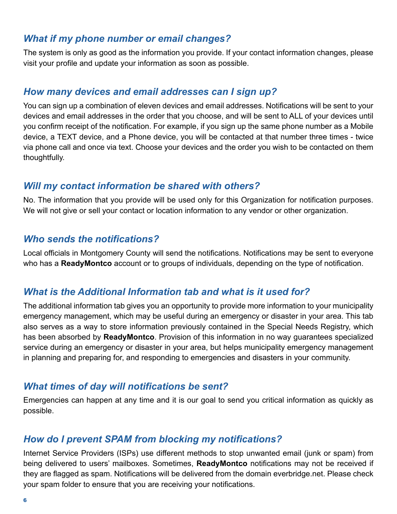#### *What if my phone number or email changes?*

The system is only as good as the information you provide. If your contact information changes, please visit your profile and update your information as soon as possible.

#### *How many devices and email addresses can I sign up?*

You can sign up a combination of eleven devices and email addresses. Notifications will be sent to your devices and email addresses in the order that you choose, and will be sent to ALL of your devices until you confirm receipt of the notification. For example, if you sign up the same phone number as a Mobile device, a TEXT device, and a Phone device, you will be contacted at that number three times - twice via phone call and once via text. Choose your devices and the order you wish to be contacted on them thoughtfully.

#### *Will my contact information be shared with others?*

No. The information that you provide will be used only for this Organization for notification purposes. We will not give or sell your contact or location information to any vendor or other organization.

#### *Who sends the notifications?*

Local officials in Montgomery County will send the notifications. Notifications may be sent to everyone who has a **ReadyMontco** account or to groups of individuals, depending on the type of notification.

#### *What is the Additional Information tab and what is it used for?*

The additional information tab gives you an opportunity to provide more information to your municipality emergency management, which may be useful during an emergency or disaster in your area. This tab also serves as a way to store information previously contained in the Special Needs Registry, which has been absorbed by **ReadyMontco**. Provision of this information in no way guarantees specialized service during an emergency or disaster in your area, but helps municipality emergency management in planning and preparing for, and responding to emergencies and disasters in your community.

#### *What times of day will notifications be sent?*

Emergencies can happen at any time and it is our goal to send you critical information as quickly as possible.

#### *How do I prevent SPAM from blocking my notifications?*

Internet Service Providers (ISPs) use different methods to stop unwanted email (junk or spam) from being delivered to users' mailboxes. Sometimes, **ReadyMontco** notifications may not be received if they are flagged as spam. Notifications will be delivered from the domain everbridge.net. Please check your spam folder to ensure that you are receiving your notifications.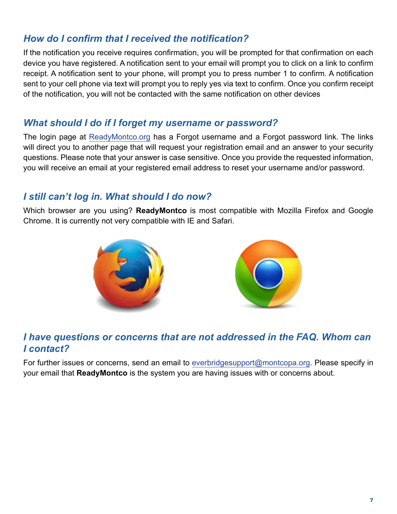#### *How do I confirm that I received the notification?*

If the notification you receive requires confirmation, you will be prompted for that confirmation on each device you have registered. A notification sent to your email will prompt you to click on a link to confirm receipt. A notification sent to your phone, will prompt you to press number 1 to confirm. A notification sent to your cell phone via text will prompt you to reply yes via text to confirm. Once you confirm receipt of the notification, you will not be contacted with the same notification on other devices

#### *What should I do if I forget my username or password?*

The login page at [ReadyMontco.org](http://www.readymontco.org/) has a Forgot username and a Forgot password link. The links will direct you to another page that will request your registration email and an answer to your security questions. Please note that your answer is case sensitive. Once you provide the requested information, you will receive an email at your registered email address to reset your username and/or password.

#### *I still can't log in. What should I do now?*

Which browser are you using? **ReadyMontco** is most compatible with Mozilla Firefox and Google Chrome. It is currently not very compatible with IE and Safari.





#### *I have questions or concerns that are not addressed in the FAQ. Whom can I contact?*

For further issues or concerns, send an email to [everbridgesupport@montcopa.org](mailto:everbridgesupport%40montcopa.org?subject=ReadyMontco%20-%20Question%20or%20Concerns%20not%20Addressed%20in%20the%20FAQ). Please specify in your email that **ReadyMontco** is the system you are having issues with or concerns about.